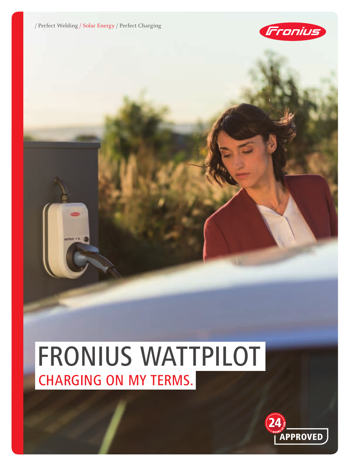

# FRONIUS WATTPILOT CHARGING ON MY TERMS.

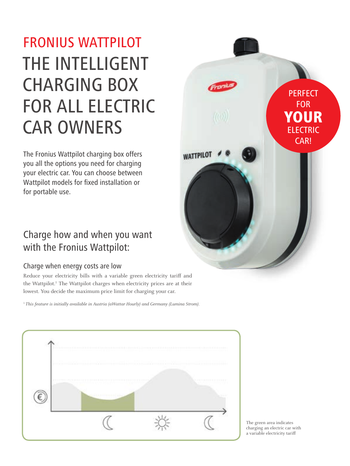# FRONIUS WATTPILOT THE INTELLIGENT CHARGING BOX FOR ALL ELECTRIC CAR OWNERS

The Fronius Wattpilot charging box offers you all the options you need for charging your electric car. You can choose between Wattpilot models for fixed installation or for portable use.

### Charge how and when you want with the Fronius Wattpilot:

#### Charge when energy costs are low

Reduce your electricity bills with a variable green electricity tariff and the Wattpilot.<sup>1</sup> The Wattpilot charges when electricity prices are at their lowest. You decide the maximum price limit for charging your car.

<sup>1</sup> This feature is initially available in Austria (aWattar Hourly) and Germany (Lumina Strom).





The green area indicates charging an electric car with a variable electricity tariff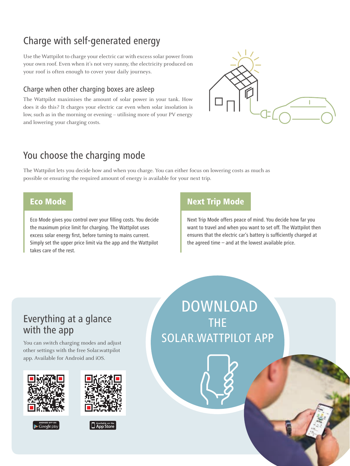# Charge with self-generated energy

Use the Wattpilot to charge your electric car with excess solar power from your own roof. Even when it's not very sunny, the electricity produced on your roof is often enough to cover your daily journeys.

#### Charge when other charging boxes are asleep

The Wattpilot maximises the amount of solar power in your tank. How does it do this? It charges your electric car even when solar insolation is low, such as in the morning or evening – utilising more of your PV energy and lowering your charging costs.



# You choose the charging mode

The Wattpilot lets you decide how and when you charge. You can either focus on lowering costs as much as possible or ensuring the required amount of energy is available for your next trip.

Eco Mode gives you control over your filling costs. You decide the maximum price limit for charging. The Wattpilot uses excess solar energy first, before turning to mains current. Simply set the upper price limit via the app and the Wattpilot takes care of the rest.

### **Eco Mode** Next Trip Mode

Next Trip Mode offers peace of mind. You decide how far you want to travel and when you want to set off. The Wattpilot then ensures that the electric car's battery is sufficiently charged at the agreed time – and at the lowest available price.

### Everything at a glance with the app

You can switch charging modes and adjust other settings with the free Solar.wattpilot app. Available for Android and iOS.







 DOWNLOAD THE SOLAR.WATTPILOT APP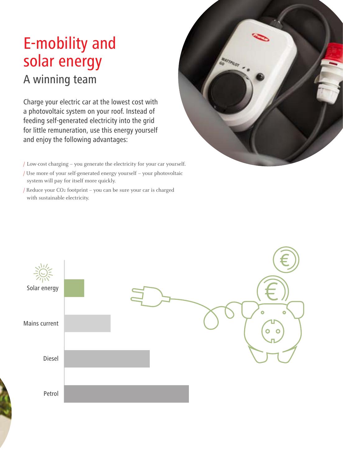# E-mobility and solar energy A winning team

Charge your electric car at the lowest cost with a photovoltaic system on your roof. Instead of feeding self-generated electricity into the grid for little remuneration, use this energy yourself and enjoy the following advantages:

- / Low-cost charging you generate the electricity for your car yourself.
- / Use more of your self-generated energy yourself your photovoltaic system will pay for itself more quickly.
- / Reduce your CO2 footprint you can be sure your car is charged with sustainable electricity.



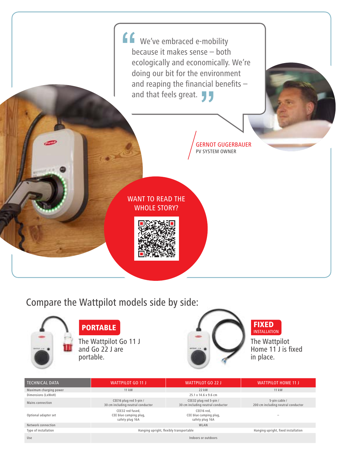

# Compare the Wattpilot models side by side:



# PORTABLE

The Wattpilot Go 11 J and Go 22 J are portable.



#### FIXED INSTALLATION

The Wattpilot Home 11<sup>'</sup>J is fixed in place.

| <b>TECHNICAL DATA</b>  | <b>WATTPILOT GO 11 J</b>                                      | <b>WATTPILOT GO 22 J</b>                                    | <b>WATTPILOT HOME 11 J</b>                          |
|------------------------|---------------------------------------------------------------|-------------------------------------------------------------|-----------------------------------------------------|
| Maximum charging power | 11 kW                                                         | 22 kW                                                       | 11 kW                                               |
| Dimensions (LxWxH)     |                                                               | 25.1 x 14.6 x 9.6 cm                                        |                                                     |
| Mains connection       | CEE16 plug red 5-pin /<br>30 cm including neutral conductor   | CEE32 plug red 5-pin /<br>30 cm including neutral conductor | 5-pin cable /<br>200 cm including neutral conductor |
| Optional adapter set   | CEE32 red fused.<br>CEE blue camping plug,<br>safety plug 16A | CEE16 red.<br>CEE blue camping plug,<br>safety plug 16A     |                                                     |
| Network connection     | WLAN                                                          |                                                             |                                                     |
| Type of installation   | Hanging upright, flexibly transportable                       |                                                             | Hanging upright, fixed installation                 |
| Use                    | Indoors or outdoors                                           |                                                             |                                                     |